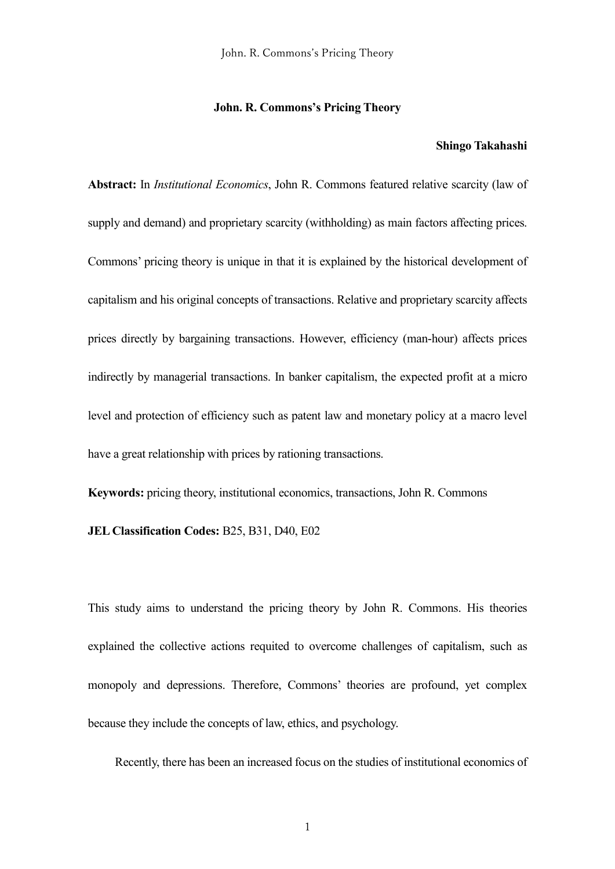#### **John. R. Commons's Pricing Theory**

# **Shingo Takahashi**

**Abstract:** In *Institutional Economics*, John R. Commons featured relative scarcity (law of supply and demand) and proprietary scarcity (withholding) as main factors affecting prices. Commons' pricing theory is unique in that it is explained by the historical development of capitalism and his original concepts of transactions. Relative and proprietary scarcity affects prices directly by bargaining transactions. However, efficiency (man-hour) affects prices indirectly by managerial transactions. In banker capitalism, the expected profit at a micro level and protection of efficiency such as patent law and monetary policy at a macro level have a great relationship with prices by rationing transactions.

**Keywords:** pricing theory, institutional economics, transactions, John R. Commons

# **JEL Classification Codes:** B25, B31, D40, E02

This study aims to understand the pricing theory by John R. Commons. His theories explained the collective actions requited to overcome challenges of capitalism, such as monopoly and depressions. Therefore, Commons' theories are profound, yet complex because they include the concepts of law, ethics, and psychology.

Recently, there has been an increased focus on the studies of institutional economics of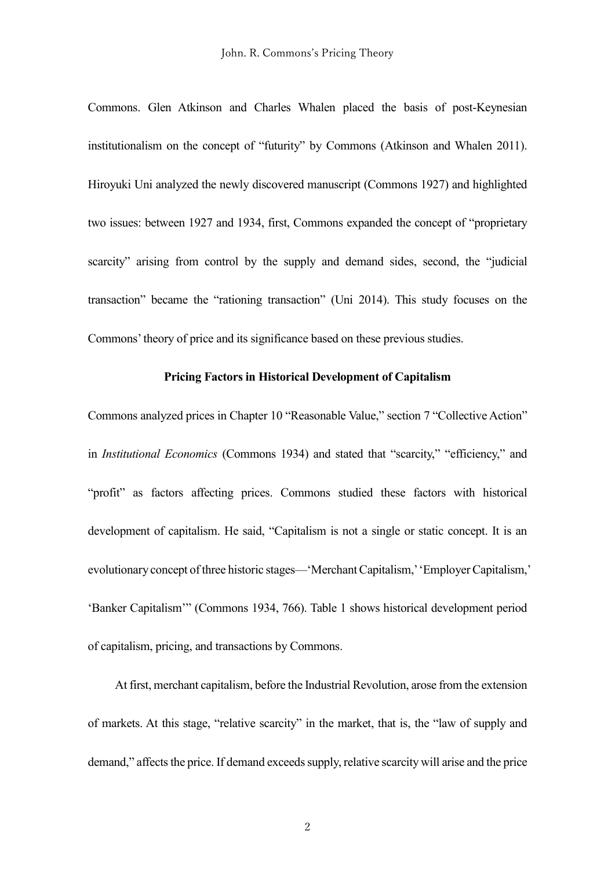Commons. Glen Atkinson and Charles Whalen placed the basis of post-Keynesian institutionalism on the concept of "futurity" by Commons (Atkinson and Whalen 2011). Hiroyuki Uni analyzed the newly discovered manuscript (Commons 1927) and highlighted two issues: between 1927 and 1934, first, Commons expanded the concept of "proprietary scarcity" arising from control by the supply and demand sides, second, the "judicial transaction" became the "rationing transaction" (Uni 2014). This study focuses on the Commons'theory of price and its significance based on these previous studies.

## **Pricing Factors in Historical Development of Capitalism**

Commons analyzed prices in Chapter 10 "Reasonable Value," section 7 "Collective Action" in *Institutional Economics* (Commons 1934) and stated that "scarcity," "efficiency," and "profit" as factors affecting prices. Commons studied these factors with historical development of capitalism. He said, "Capitalism is not a single or static concept. It is an evolutionary concept of three historic stages—'Merchant Capitalism,''Employer Capitalism,' 'Banker Capitalism'" (Commons 1934, 766). Table 1 shows historical development period of capitalism, pricing, and transactions by Commons.

At first, merchant capitalism, before the Industrial Revolution, arose from the extension of markets. At this stage, "relative scarcity" in the market, that is, the "law of supply and demand," affects the price. If demand exceeds supply, relative scarcity will arise and the price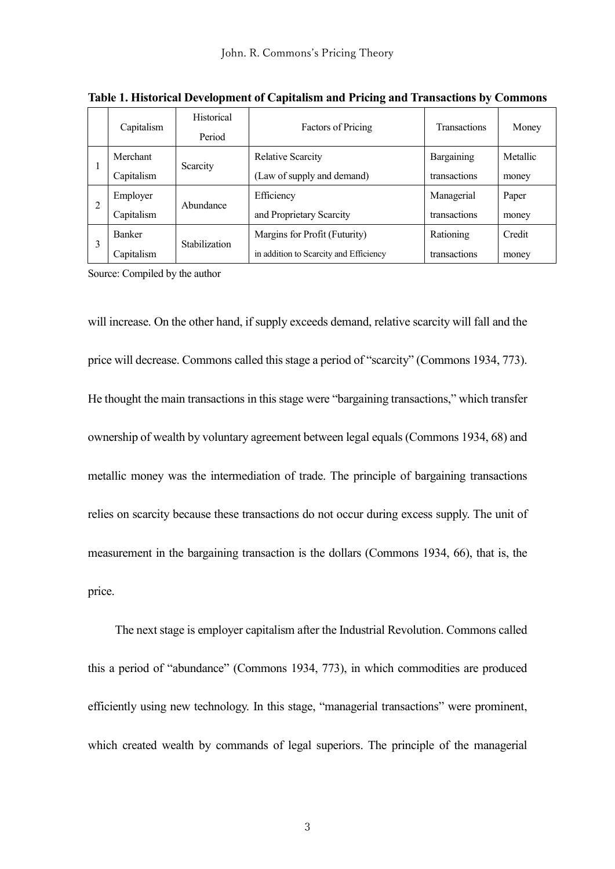|    | Capitalism    | Historical<br>Period | <b>Factors of Pricing</b>              | <b>Transactions</b> | Money    |
|----|---------------|----------------------|----------------------------------------|---------------------|----------|
| л. | Merchant      | Scarcity             | <b>Relative Scarcity</b>               | Bargaining          | Metallic |
|    | Capitalism    |                      | (Law of supply and demand)             | transactions        | money    |
| 2  | Employer      | Abundance            | Efficiency                             | Managerial          | Paper    |
|    | Capitalism    |                      | and Proprietary Scarcity               | transactions        | money    |
| 3  | <b>Banker</b> | <b>Stabilization</b> | Margins for Profit (Futurity)          | Rationing           | Credit   |
|    | Capitalism    |                      | in addition to Scarcity and Efficiency | transactions        | money    |

**Table 1. Historical Development of Capitalism and Pricing and Transactions by Commons**

Source: Compiled by the author

will increase. On the other hand, if supply exceeds demand, relative scarcity will fall and the price will decrease. Commons called this stage a period of "scarcity" (Commons 1934, 773). He thought the main transactions in this stage were "bargaining transactions," which transfer ownership of wealth by voluntary agreement between legal equals (Commons 1934, 68) and metallic money was the intermediation of trade. The principle of bargaining transactions relies on scarcity because these transactions do not occur during excess supply. The unit of measurement in the bargaining transaction is the dollars (Commons 1934, 66), that is, the price.

The next stage is employer capitalism after the Industrial Revolution. Commons called this a period of "abundance" (Commons 1934, 773), in which commodities are produced efficiently using new technology. In this stage, "managerial transactions" were prominent, which created wealth by commands of legal superiors. The principle of the managerial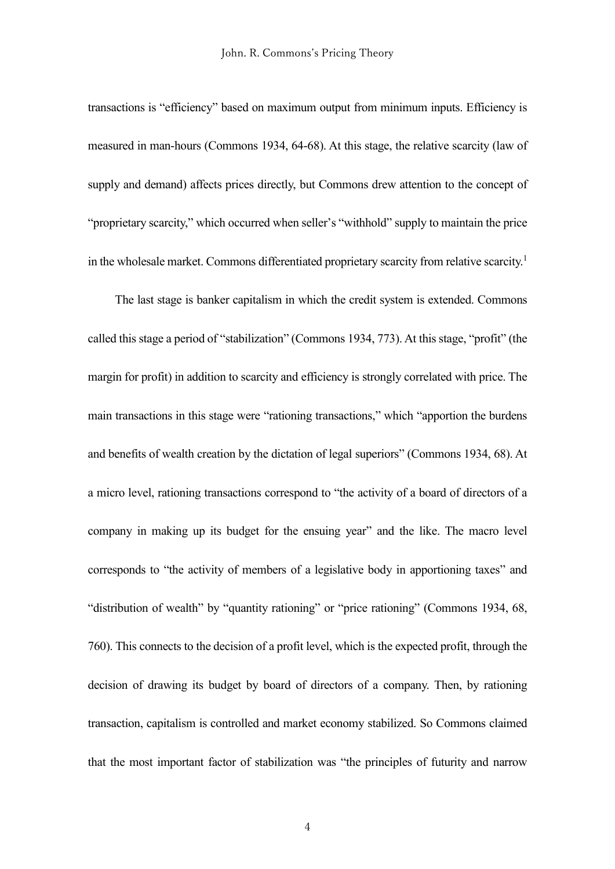transactions is "efficiency" based on maximum output from minimum inputs. Efficiency is measured in man-hours (Commons 1934, 64-68). At this stage, the relative scarcity (law of supply and demand) affects prices directly, but Commons drew attention to the concept of "proprietary scarcity," which occurred when seller's "withhold" supply to maintain the price in the wholesale market. Commons differentiated proprietary scarcity from relative scarcity.<sup>1</sup>

The last stage is banker capitalism in which the credit system is extended. Commons called this stage a period of "stabilization" (Commons 1934, 773). At this stage, "profit" (the margin for profit) in addition to scarcity and efficiency is strongly correlated with price. The main transactions in this stage were "rationing transactions," which "apportion the burdens and benefits of wealth creation by the dictation of legal superiors" (Commons 1934, 68). At a micro level, rationing transactions correspond to "the activity of a board of directors of a company in making up its budget for the ensuing year" and the like. The macro level corresponds to "the activity of members of a legislative body in apportioning taxes" and "distribution of wealth" by "quantity rationing" or "price rationing" (Commons 1934, 68, 760). This connects to the decision of a profit level, which is the expected profit, through the decision of drawing its budget by board of directors of a company. Then, by rationing transaction, capitalism is controlled and market economy stabilized. So Commons claimed that the most important factor of stabilization was "the principles of futurity and narrow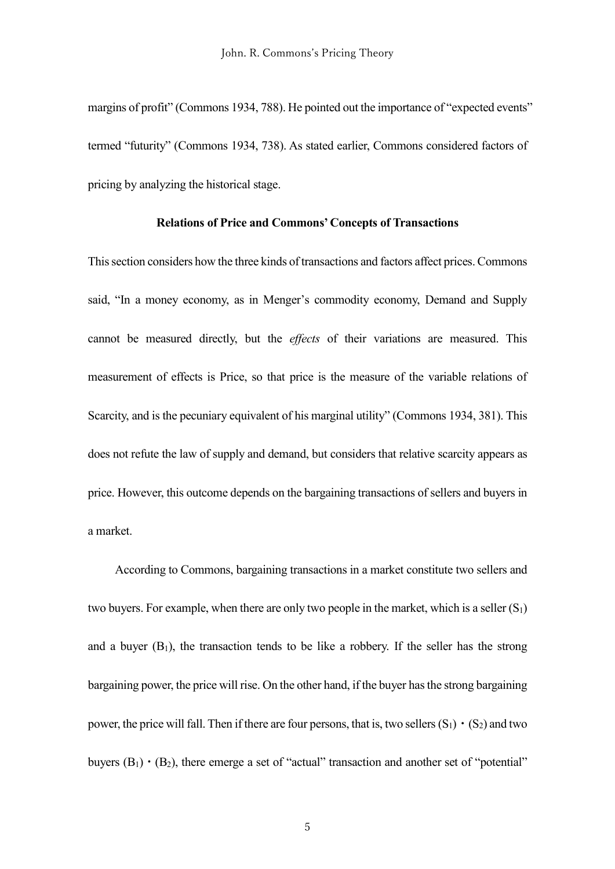margins of profit" (Commons 1934, 788). He pointed out the importance of "expected events" termed "futurity" (Commons 1934, 738). As stated earlier, Commons considered factors of pricing by analyzing the historical stage.

## **Relations of Price and Commons' Concepts of Transactions**

This section considers how the three kinds of transactions and factors affect prices.Commons said, "In a money economy, as in Menger's commodity economy, Demand and Supply cannot be measured directly, but the *effects* of their variations are measured. This measurement of effects is Price, so that price is the measure of the variable relations of Scarcity, and is the pecuniary equivalent of his marginal utility" (Commons 1934, 381). This does not refute the law of supply and demand, but considers that relative scarcity appears as price. However, this outcome depends on the bargaining transactions of sellers and buyers in a market.

According to Commons, bargaining transactions in a market constitute two sellers and two buyers. For example, when there are only two people in the market, which is a seller  $(S_1)$ and a buyer  $(B_1)$ , the transaction tends to be like a robbery. If the seller has the strong bargaining power, the price will rise. On the other hand, if the buyer hasthe strong bargaining power, the price will fall. Then if there are four persons, that is, two sellers  $(S_1) \cdot (S_2)$  and two buyers  $(B_1) \cdot (B_2)$ , there emerge a set of "actual" transaction and another set of "potential"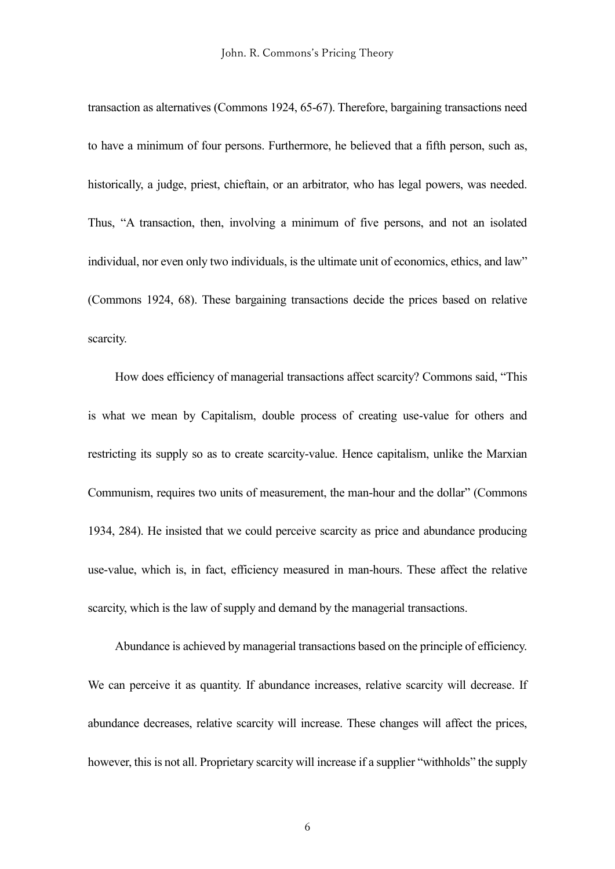transaction as alternatives (Commons 1924, 65-67). Therefore, bargaining transactions need to have a minimum of four persons. Furthermore, he believed that a fifth person, such as, historically, a judge, priest, chieftain, or an arbitrator, who has legal powers, was needed. Thus, "A transaction, then, involving a minimum of five persons, and not an isolated individual, nor even only two individuals, is the ultimate unit of economics, ethics, and law" (Commons 1924, 68). These bargaining transactions decide the prices based on relative scarcity.

How does efficiency of managerial transactions affect scarcity? Commons said, "This is what we mean by Capitalism, double process of creating use-value for others and restricting its supply so as to create scarcity-value. Hence capitalism, unlike the Marxian Communism, requires two units of measurement, the man-hour and the dollar" (Commons 1934, 284). He insisted that we could perceive scarcity as price and abundance producing use-value, which is, in fact, efficiency measured in man-hours. These affect the relative scarcity, which is the law of supply and demand by the managerial transactions.

Abundance is achieved by managerial transactions based on the principle of efficiency. We can perceive it as quantity. If abundance increases, relative scarcity will decrease. If abundance decreases, relative scarcity will increase. These changes will affect the prices, however, this is not all. Proprietary scarcity will increase if a supplier "withholds" the supply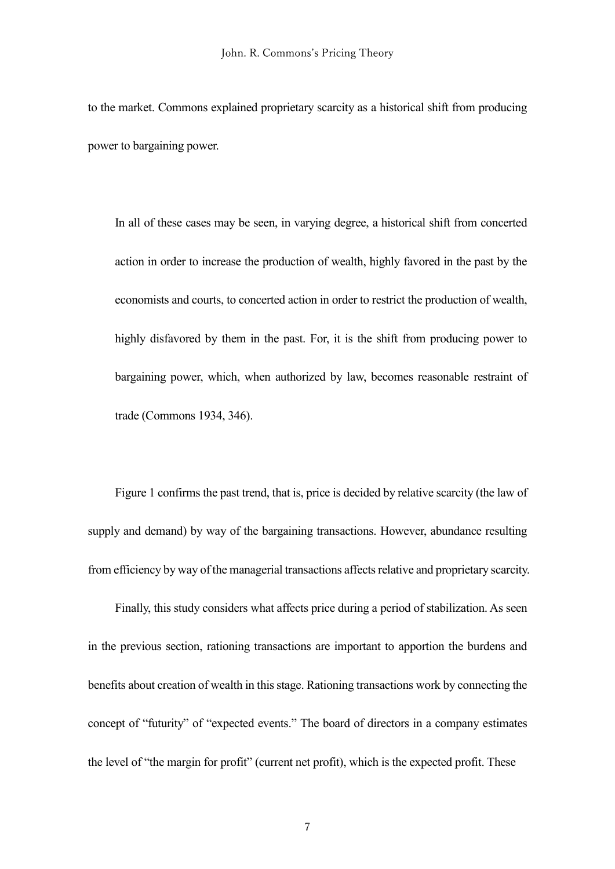to the market. Commons explained proprietary scarcity as a historical shift from producing power to bargaining power.

In all of these cases may be seen, in varying degree, a historical shift from concerted action in order to increase the production of wealth, highly favored in the past by the economists and courts, to concerted action in order to restrict the production of wealth, highly disfavored by them in the past. For, it is the shift from producing power to bargaining power, which, when authorized by law, becomes reasonable restraint of trade (Commons 1934, 346).

Figure 1 confirms the past trend, that is, price is decided by relative scarcity (the law of supply and demand) by way of the bargaining transactions. However, abundance resulting from efficiency by way of the managerial transactions affects relative and proprietary scarcity.

Finally, this study considers what affects price during a period of stabilization. As seen in the previous section, rationing transactions are important to apportion the burdens and benefits about creation of wealth in this stage. Rationing transactions work by connecting the concept of "futurity" of "expected events." The board of directors in a company estimates the level of "the margin for profit" (current net profit), which is the expected profit. These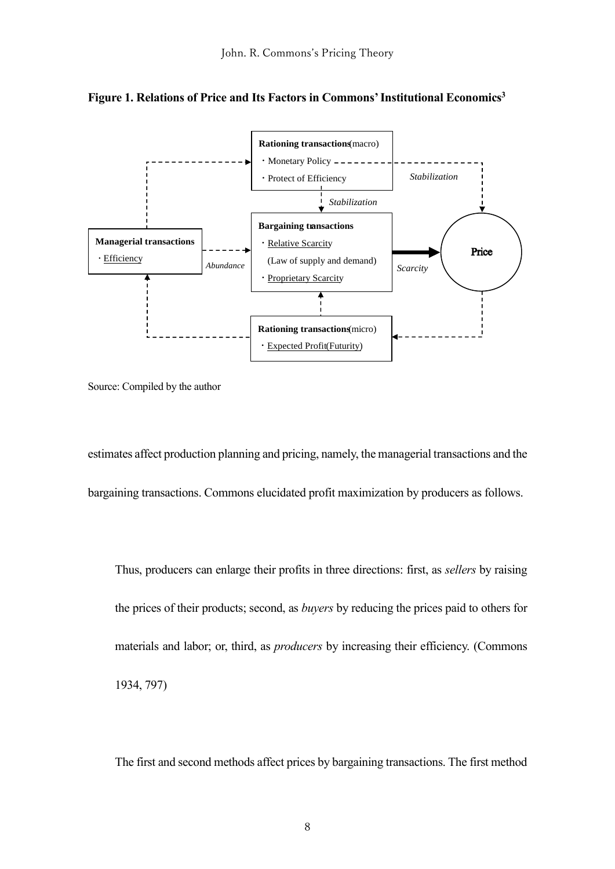



Source: Compiled by the author

estimates affect production planning and pricing, namely, the managerial transactions and the bargaining transactions. Commons elucidated profit maximization by producers as follows.

Thus, producers can enlarge their profits in three directions: first, as *sellers* by raising the prices of their products; second, as *buyers* by reducing the prices paid to others for materials and labor; or, third, as *producers* by increasing their efficiency. (Commons 1934, 797)

The first and second methods affect prices by bargaining transactions. The first method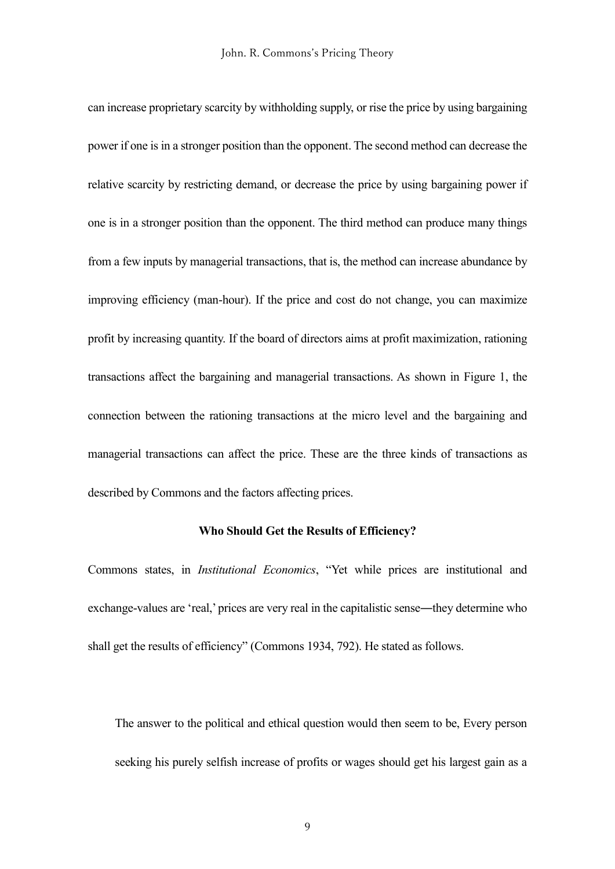can increase proprietary scarcity by withholding supply, or rise the price by using bargaining power if one is in a stronger position than the opponent. The second method can decrease the relative scarcity by restricting demand, or decrease the price by using bargaining power if one is in a stronger position than the opponent. The third method can produce many things from a few inputs by managerial transactions, that is, the method can increase abundance by improving efficiency (man-hour). If the price and cost do not change, you can maximize profit by increasing quantity. If the board of directors aims at profit maximization, rationing transactions affect the bargaining and managerial transactions. As shown in Figure 1, the connection between the rationing transactions at the micro level and the bargaining and managerial transactions can affect the price. These are the three kinds of transactions as described by Commons and the factors affecting prices.

## **Who Should Get the Results of Efficiency?**

Commons states, in *Institutional Economics*, "Yet while prices are institutional and exchange-values are 'real,' prices are very real in the capitalistic sense―they determine who shall get the results of efficiency" (Commons 1934, 792). He stated as follows.

The answer to the political and ethical question would then seem to be, Every person seeking his purely selfish increase of profits or wages should get his largest gain as a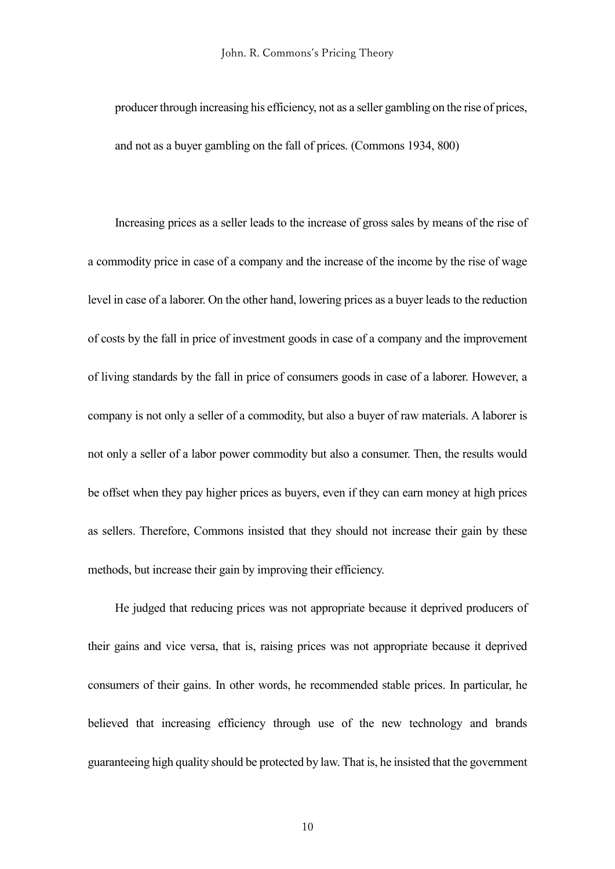producer through increasing his efficiency, not as a seller gambling on the rise of prices, and not as a buyer gambling on the fall of prices. (Commons 1934, 800)

Increasing prices as a seller leads to the increase of gross sales by means of the rise of a commodity price in case of a company and the increase of the income by the rise of wage level in case of a laborer. On the other hand, lowering prices as a buyer leads to the reduction of costs by the fall in price of investment goods in case of a company and the improvement of living standards by the fall in price of consumers goods in case of a laborer. However, a company is not only a seller of a commodity, but also a buyer of raw materials. A laborer is not only a seller of a labor power commodity but also a consumer. Then, the results would be offset when they pay higher prices as buyers, even if they can earn money at high prices as sellers. Therefore, Commons insisted that they should not increase their gain by these methods, but increase their gain by improving their efficiency.

He judged that reducing prices was not appropriate because it deprived producers of their gains and vice versa, that is, raising prices was not appropriate because it deprived consumers of their gains. In other words, he recommended stable prices. In particular, he believed that increasing efficiency through use of the new technology and brands guaranteeing high quality should be protected by law. That is, he insisted that the government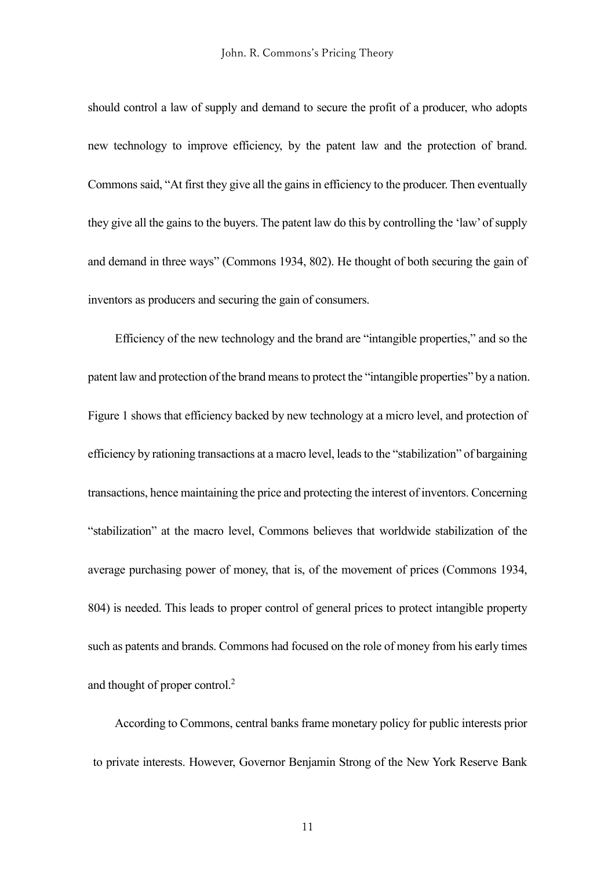should control a law of supply and demand to secure the profit of a producer, who adopts new technology to improve efficiency, by the patent law and the protection of brand. Commons said, "At first they give all the gains in efficiency to the producer. Then eventually they give all the gains to the buyers. The patent law do this by controlling the 'law' of supply and demand in three ways" (Commons 1934, 802). He thought of both securing the gain of inventors as producers and securing the gain of consumers.

Efficiency of the new technology and the brand are "intangible properties," and so the patent law and protection of the brand means to protect the "intangible properties" by a nation. Figure 1 shows that efficiency backed by new technology at a micro level, and protection of efficiency by rationing transactions at a macro level, leads to the "stabilization" of bargaining transactions, hence maintaining the price and protecting the interest of inventors. Concerning "stabilization" at the macro level, Commons believes that worldwide stabilization of the average purchasing power of money, that is, of the movement of prices (Commons 1934, 804) is needed. This leads to proper control of general prices to protect intangible property such as patents and brands. Commons had focused on the role of money from his early times and thought of proper control.<sup>2</sup>

According to Commons, central banks frame monetary policy for public interests prior to private interests. However, Governor Benjamin Strong of the New York Reserve Bank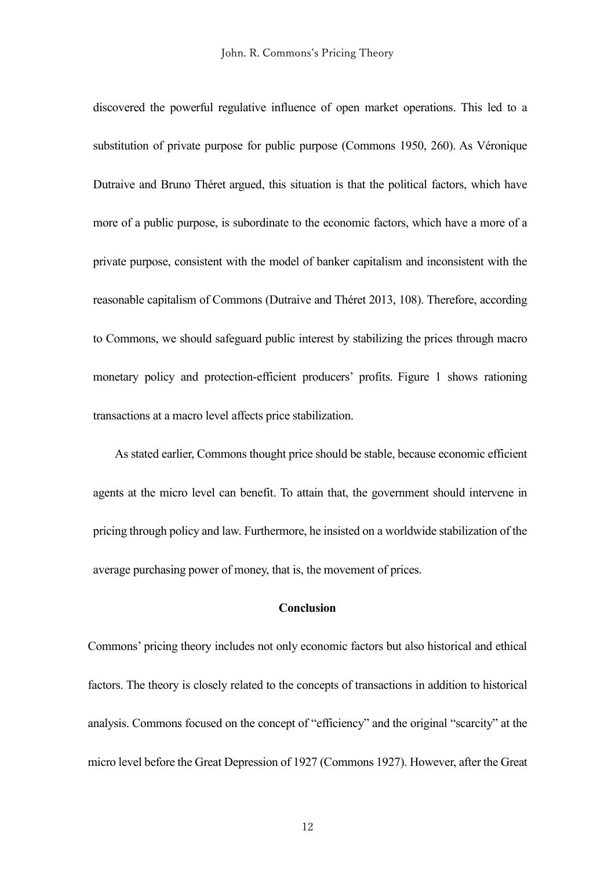discovered the powerful regulative influence of open market operations. This led to a substitution of private purpose for public purpose (Commons 1950, 260). As Véronique Dutraive and Bruno Théret argued, this situation is that the political factors, which have more of a public purpose, is subordinate to the economic factors, which have a more of a private purpose, consistent with the model of banker capitalism and inconsistent with the reasonable capitalism of Commons (Dutraive and Théret 2013, 108). Therefore, according to Commons, we should safeguard public interest by stabilizing the prices through macro monetary policy and protection-efficient producers' profits. Figure 1 shows rationing transactions at a macro level affects price stabilization.

As stated earlier, Commons thought price should be stable, because economic efficient agents at the micro level can benefit. To attain that, the government should intervene in pricing through policy and law. Furthermore, he insisted on a worldwide stabilization of the average purchasing power of money, that is, the movement of prices.

# **Conclusion**

Commons' pricing theory includes not only economic factors but also historical and ethical factors. The theory is closely related to the concepts of transactions in addition to historical analysis. Commons focused on the concept of "efficiency" and the original "scarcity" at the micro level before the Great Depression of 1927 (Commons 1927). However, after the Great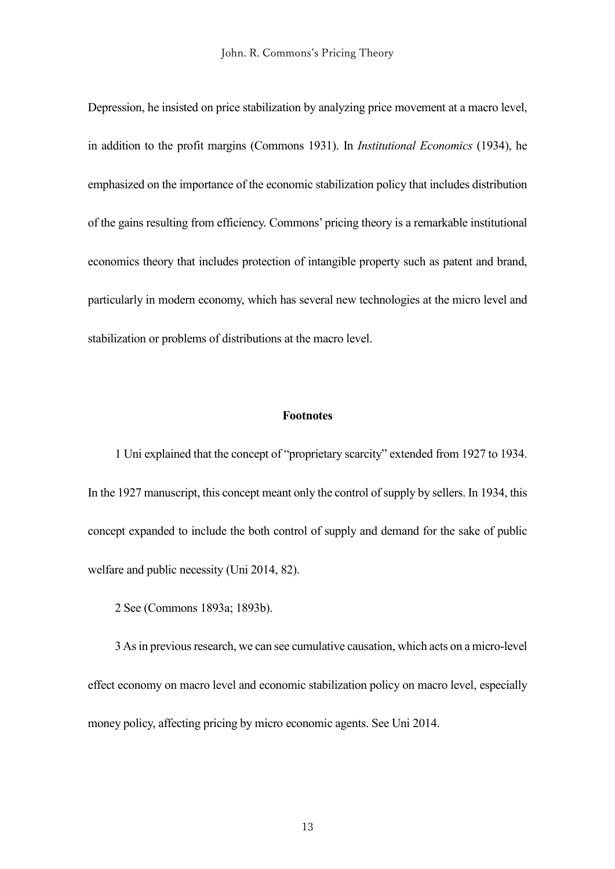Depression, he insisted on price stabilization by analyzing price movement at a macro level, in addition to the profit margins (Commons 1931). In *Institutional Economics* (1934), he emphasized on the importance of the economic stabilization policy that includes distribution of the gains resulting from efficiency. Commons' pricing theory is a remarkable institutional economics theory that includes protection of intangible property such as patent and brand, particularly in modern economy, which has several new technologies at the micro level and stabilization or problems of distributions at the macro level.

#### **Footnotes**

1 Uni explained that the concept of "proprietary scarcity" extended from 1927 to 1934. In the 1927 manuscript, this concept meant only the control of supply by sellers. In 1934, this concept expanded to include the both control of supply and demand for the sake of public welfare and public necessity (Uni 2014, 82).

2 See (Commons 1893a; 1893b).

3 As in previous research, we can see cumulative causation, which acts on a micro-level effect economy on macro level and economic stabilization policy on macro level, especially money policy, affecting pricing by micro economic agents. See Uni 2014.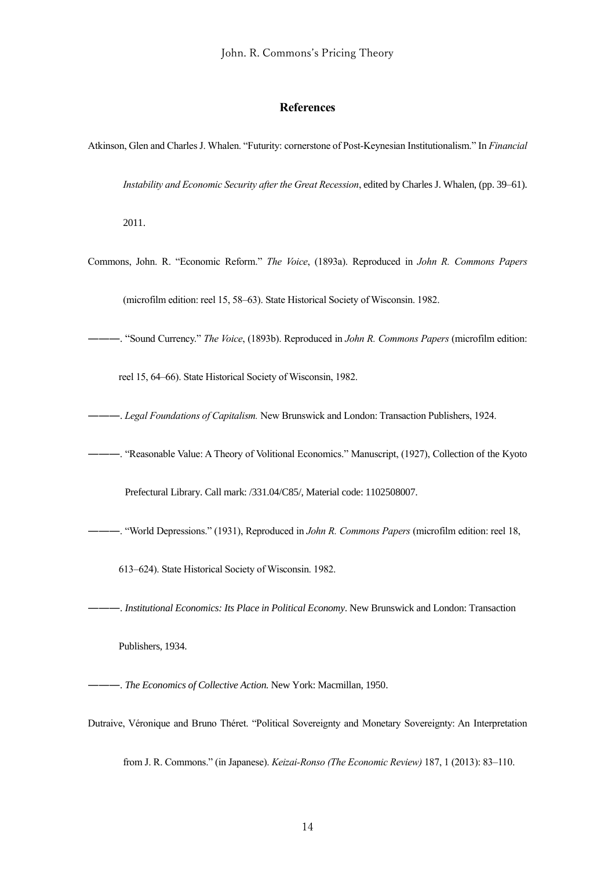#### **References**

Atkinson, Glen and CharlesJ. Whalen. "Futurity: cornerstone of Post-Keynesian Institutionalism." In *Financial* 

*Instability and Economic Security after the Great Recession*, edited by Charles J. Whalen, (pp. 39–61).

2011.

Commons, John. R. "Economic Reform." *The Voice*, (1893a). Reproduced in *John R. Commons Papers*

(microfilm edition: reel 15, 58–63). State Historical Society of Wisconsin. 1982.

―――. "Sound Currency." *The Voice*, (1893b). Reproduced in *John R. Commons Papers* (microfilm edition:

reel 15, 64–66). State Historical Society of Wisconsin, 1982.

- ―――. *Legal Foundations of Capitalism.* New Brunswick and London: Transaction Publishers, 1924.
- ―――. "Reasonable Value: A Theory of Volitional Economics." Manuscript, (1927), Collection of the Kyoto

Prefectural Library. Call mark: /331.04/C85/, Material code: 1102508007.

―――. "World Depressions." (1931), Reproduced in *John R. Commons Papers* (microfilm edition: reel 18,

613–624). State Historical Society of Wisconsin. 1982.

―――. *Institutional Economics: Its Place in Political Economy*. New Brunswick and London: Transaction

Publishers, 1934.

―――. *The Economics of Collective Action.* New York: Macmillan, 1950.

Dutraive, Véronique and Bruno Théret. "Political Sovereignty and Monetary Sovereignty: An Interpretation

from J. R. Commons." (in Japanese). *Keizai-Ronso (The Economic Review)* 187, 1 (2013): 83–110.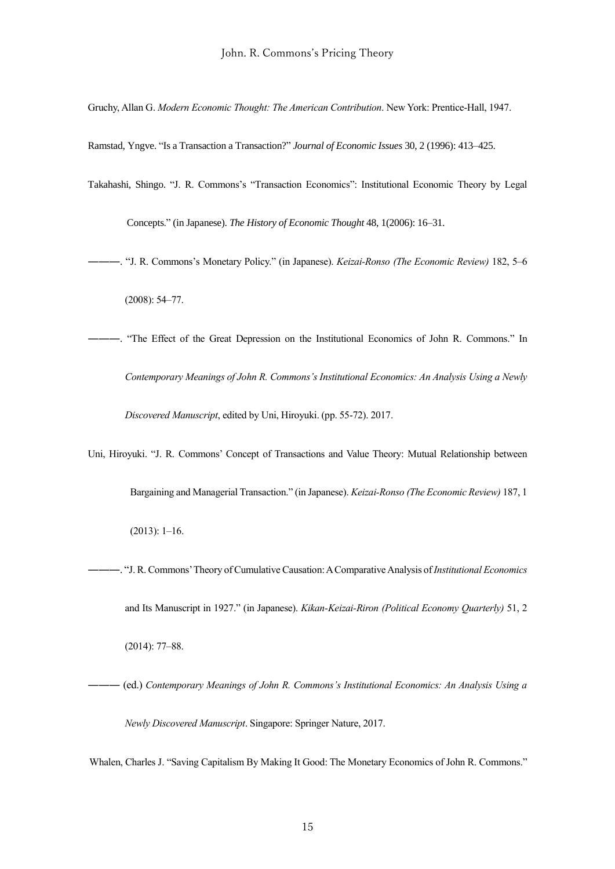Gruchy, Allan G. *Modern Economic Thought: The American Contribution*. New York: Prentice-Hall, 1947.

Ramstad, Yngve. "Is a Transaction a Transaction?" *Journal of Economic Issues* 30, 2 (1996): 413–425.

Takahashi, Shingo. "J. R. Commons's "Transaction Economics": Institutional Economic Theory by Legal

Concepts." (in Japanese). *The History of Economic Thought* 48, 1(2006): 16–31.

- ―――. "J. R. Commons's Monetary Policy." (in Japanese). *Keizai-Ronso (The Economic Review)* 182, 5–6 (2008): 54–77.
- ―――. "The Effect of the Great Depression on the Institutional Economics of John R. Commons." In *Contemporary Meanings of John R. Commons's Institutional Economics: An Analysis Using a Newly Discovered Manuscript*, edited by Uni, Hiroyuki. (pp. 55-72). 2017.
- Uni, Hiroyuki. "J. R. Commons' Concept of Transactions and Value Theory: Mutual Relationship between Bargaining and Managerial Transaction." (in Japanese). *Keizai-Ronso (The Economic Review)* 187, 1 (2013): 1–16.
- ―――. "J. R. Commons' Theory of Cumulative Causation: A Comparative Analysis of *Institutional Economics* and Its Manuscript in 1927." (in Japanese). *Kikan-Keizai-Riron (Political Economy Quarterly)* 51, 2 (2014): 77–88.
- ――― (ed.) *Contemporary Meanings of John R. Commons's Institutional Economics: An Analysis Using a Newly Discovered Manuscript*. Singapore: Springer Nature, 2017.

Whalen, Charles J. "Saving Capitalism By Making It Good: The Monetary Economics of John R. Commons."